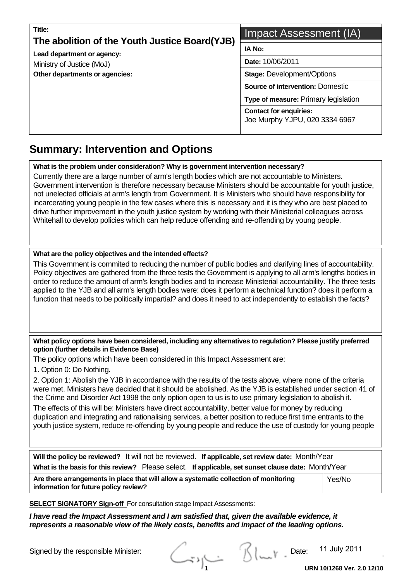| Title:<br>The abolition of the Youth Justice Board(YJB) | Impact Assessment (IA)                                          |  |  |  |  |
|---------------------------------------------------------|-----------------------------------------------------------------|--|--|--|--|
| Lead department or agency:                              | <b>IA No:</b><br>Date: 10/06/2011                               |  |  |  |  |
| Ministry of Justice (MoJ)                               |                                                                 |  |  |  |  |
| Other departments or agencies:                          | <b>Stage: Development/Options</b>                               |  |  |  |  |
|                                                         | <b>Source of intervention: Domestic</b>                         |  |  |  |  |
|                                                         | Type of measure: Primary legislation                            |  |  |  |  |
|                                                         | <b>Contact for enquiries:</b><br>Joe Murphy YJPU, 020 3334 6967 |  |  |  |  |

#### **Summary: Intervention and Options**   $\overline{a}$

**What is the problem under consideration? Why is government intervention necessary?** 

Currently there are a large number of arm's length bodies which are not accountable to Ministers. Government intervention is therefore necessary because Ministers should be accountable for youth justice, not unelected officials at arm's length from Government. It is Ministers who should have responsibility for incarcerating young people in the few cases where this is necessary and it is they who are best placed to drive further improvement in the youth justice system by working with their Ministerial colleagues across Whitehall to develop policies which can help reduce offending and re-offending by young people.

#### **What are the policy objectives and the intended effects?**

This Government is commited to reducing the number of public bodies and clarifying lines of accountability. Policy objectives are gathered from the three tests the Government is applying to all arm's lengths bodies in order to reduce the amount of arm's length bodies and to increase Ministerial accountability. The three tests applied to the YJB and all arm's length bodies were: does it perform a technical function? does it perform a function that needs to be politically impartial? and does it need to act independently to establish the facts?

#### **What policy options have been considered, including any alternatives to regulation? Please justify preferred option (further details in Evidence Base)**

The policy options which have been considered in this Impact Assessment are:

1. Option 0: Do Nothing.

2. Option 1: Abolish the YJB in accordance with the results of the tests above, where none of the criteria were met. Ministers have decided that it should be abolished. As the YJB is established under section 41 of the Crime and Disorder Act 1998 the only option open to us is to use primary legislation to abolish it.

The effects of this will be: Ministers have direct accountability, better value for money by reducing duplication and integrating and rationalising services, a better position to reduce first time entrants to the youth justice system, reduce re-offending by young people and reduce the use of custody for young people

| Will the policy be reviewed? It will not be reviewed. If applicable, set review date: Month/Year<br>What is the basis for this review? Please select. If applicable, set sunset clause date: Month/Year |  |  |  |  |  |
|---------------------------------------------------------------------------------------------------------------------------------------------------------------------------------------------------------|--|--|--|--|--|
| Are there arrangements in place that will allow a systematic collection of monitoring<br>Yes/No<br>information for future policy review?                                                                |  |  |  |  |  |

**SELECT SIGNATORY Sign-off** For consultation stage Impact Assessments:

*I have read the Impact Assessment and I am satisfied that, given the available evidence, it represents a reasonable view of the likely costs, benefits and impact of the leading options.* 

Signed by the responsible Minister:<br>
Called the Blue of Date: 11 July 2011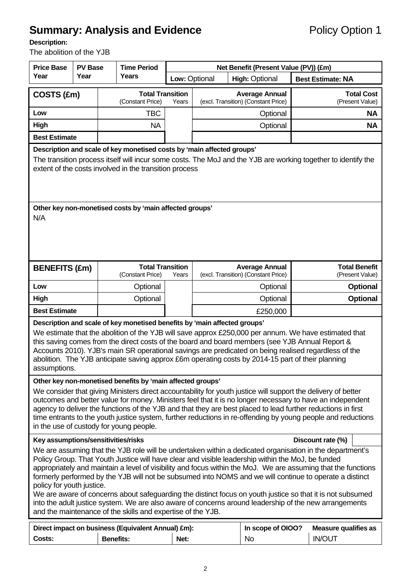# **Summary: Analysis and Evidence Policy Option 1**

### **Description:**

The abolition of the YJB

| <b>Price Base</b><br><b>PV Base</b>                                                                                                                                                                                                                                                                                                                                                                                                                                                                                                                                                                                                                                                                                                                           |      |                  | <b>Time Period</b>                                         |                                  | Net Benefit (Present Value (PV)) (£m) |                                                              |                          |                                              |  |  |  |  |  |  |  |           |
|---------------------------------------------------------------------------------------------------------------------------------------------------------------------------------------------------------------------------------------------------------------------------------------------------------------------------------------------------------------------------------------------------------------------------------------------------------------------------------------------------------------------------------------------------------------------------------------------------------------------------------------------------------------------------------------------------------------------------------------------------------------|------|------------------|------------------------------------------------------------|----------------------------------|---------------------------------------|--------------------------------------------------------------|--------------------------|----------------------------------------------|--|--|--|--|--|--|--|-----------|
| Year                                                                                                                                                                                                                                                                                                                                                                                                                                                                                                                                                                                                                                                                                                                                                          | Year |                  | Years                                                      | Low: Optional                    | <b>High: Optional</b>                 |                                                              | <b>Best Estimate: NA</b> |                                              |  |  |  |  |  |  |  |           |
| COSTS (£m)                                                                                                                                                                                                                                                                                                                                                                                                                                                                                                                                                                                                                                                                                                                                                    |      |                  | (Constant Price)                                           | <b>Total Transition</b><br>Years |                                       | <b>Average Annual</b><br>(excl. Transition) (Constant Price) |                          | <b>Total Cost</b><br>(Present Value)         |  |  |  |  |  |  |  |           |
| Low                                                                                                                                                                                                                                                                                                                                                                                                                                                                                                                                                                                                                                                                                                                                                           |      |                  | <b>TBC</b>                                                 |                                  | Optional                              |                                                              |                          |                                              |  |  |  |  |  |  |  | <b>NA</b> |
| High                                                                                                                                                                                                                                                                                                                                                                                                                                                                                                                                                                                                                                                                                                                                                          |      |                  | <b>NA</b>                                                  |                                  |                                       | Optional                                                     |                          |                                              |  |  |  |  |  |  |  |           |
| <b>Best Estimate</b>                                                                                                                                                                                                                                                                                                                                                                                                                                                                                                                                                                                                                                                                                                                                          |      |                  |                                                            |                                  |                                       |                                                              |                          |                                              |  |  |  |  |  |  |  |           |
| Description and scale of key monetised costs by 'main affected groups'<br>The transition process itself will incur some costs. The MoJ and the YJB are working together to identify the<br>extent of the costs involved in the transition process                                                                                                                                                                                                                                                                                                                                                                                                                                                                                                             |      |                  |                                                            |                                  |                                       |                                                              |                          |                                              |  |  |  |  |  |  |  |           |
| N/A                                                                                                                                                                                                                                                                                                                                                                                                                                                                                                                                                                                                                                                                                                                                                           |      |                  | Other key non-monetised costs by 'main affected groups'    |                                  |                                       |                                                              |                          |                                              |  |  |  |  |  |  |  |           |
| <b>BENEFITS (£m)</b>                                                                                                                                                                                                                                                                                                                                                                                                                                                                                                                                                                                                                                                                                                                                          |      |                  | <b>Total Transition</b><br>(Constant Price)                | Years                            |                                       | <b>Average Annual</b><br>(excl. Transition) (Constant Price) |                          | <b>Total Benefit</b><br>(Present Value)      |  |  |  |  |  |  |  |           |
| Low                                                                                                                                                                                                                                                                                                                                                                                                                                                                                                                                                                                                                                                                                                                                                           |      |                  | Optional                                                   |                                  |                                       | Optional                                                     |                          | <b>Optional</b>                              |  |  |  |  |  |  |  |           |
| High                                                                                                                                                                                                                                                                                                                                                                                                                                                                                                                                                                                                                                                                                                                                                          |      |                  | Optional                                                   |                                  | Optional                              |                                                              |                          | <b>Optional</b>                              |  |  |  |  |  |  |  |           |
| <b>Best Estimate</b>                                                                                                                                                                                                                                                                                                                                                                                                                                                                                                                                                                                                                                                                                                                                          |      |                  |                                                            |                                  | £250,000                              |                                                              |                          |                                              |  |  |  |  |  |  |  |           |
| Description and scale of key monetised benefits by 'main affected groups'<br>We estimate that the abolition of the YJB will save approx £250,000 per annum. We have estimated that<br>this saving comes from the direct costs of the board and board members (see YJB Annual Report &<br>Accounts 2010). YJB's main SR operational savings are predicated on being realised regardless of the<br>abolition. The YJB anticipate saving approx £6m operating costs by 2014-15 part of their planning<br>assumptions.                                                                                                                                                                                                                                            |      |                  |                                                            |                                  |                                       |                                                              |                          |                                              |  |  |  |  |  |  |  |           |
|                                                                                                                                                                                                                                                                                                                                                                                                                                                                                                                                                                                                                                                                                                                                                               |      |                  | Other key non-monetised benefits by 'main affected groups' |                                  |                                       |                                                              |                          |                                              |  |  |  |  |  |  |  |           |
| We consider that giving Ministers direct accountability for youth justice will support the delivery of better<br>outcomes and better value for money. Ministers feel that it is no longer necessary to have an independent<br>agency to deliver the functions of the YJB and that they are best placed to lead further reductions in first<br>time entrants to the youth justice system, further reductions in re-offending by young people and reductions<br>in the use of custody for young people.                                                                                                                                                                                                                                                         |      |                  |                                                            |                                  |                                       |                                                              |                          |                                              |  |  |  |  |  |  |  |           |
| Key assumptions/sensitivities/risks<br>Discount rate (%)                                                                                                                                                                                                                                                                                                                                                                                                                                                                                                                                                                                                                                                                                                      |      |                  |                                                            |                                  |                                       |                                                              |                          |                                              |  |  |  |  |  |  |  |           |
| We are assuming that the YJB role will be undertaken within a dedicated organisation in the department's<br>Policy Group. That Youth Justice will have clear and visible leadership within the MoJ, be funded<br>appropriately and maintain a level of visibility and focus within the MoJ. We are assuming that the functions<br>formerly performed by the YJB will not be subsumed into NOMS and we will continue to operate a distinct<br>policy for youth justice.<br>We are aware of concerns about safeguarding the distinct focus on youth justice so that it is not subsumed<br>into the adult justice system. We are also aware of concerns around leadership of the new arrangements<br>and the maintenance of the skills and expertise of the YJB. |      |                  |                                                            |                                  |                                       |                                                              |                          |                                              |  |  |  |  |  |  |  |           |
| Costs:                                                                                                                                                                                                                                                                                                                                                                                                                                                                                                                                                                                                                                                                                                                                                        |      | <b>Benefits:</b> | Direct impact on business (Equivalent Annual) £m):         | Net:                             |                                       | In scope of OIOO?<br>No                                      |                          | <b>Measure qualifies as</b><br><b>IN/OUT</b> |  |  |  |  |  |  |  |           |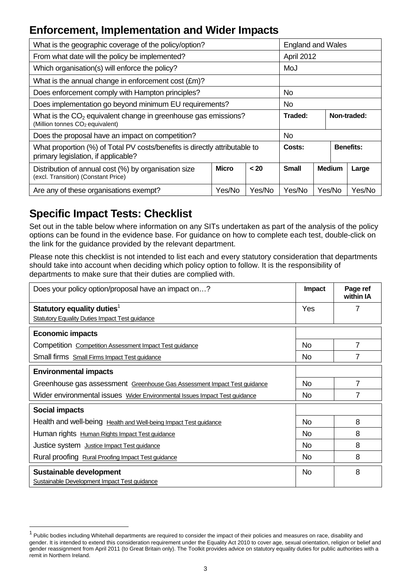# **Enforcement, Implementation and Wider Impacts**

| What is the geographic coverage of the policy/option?                                                                     | <b>England and Wales</b> |      |                                        |                  |  |  |
|---------------------------------------------------------------------------------------------------------------------------|--------------------------|------|----------------------------------------|------------------|--|--|
| From what date will the policy be implemented?                                                                            |                          |      | April 2012                             |                  |  |  |
| Which organisation(s) will enforce the policy?                                                                            |                          |      | MoJ                                    |                  |  |  |
| What is the annual change in enforcement cost $(\text{Em})$ ?                                                             |                          |      |                                        |                  |  |  |
| Does enforcement comply with Hampton principles?                                                                          |                          | No.  |                                        |                  |  |  |
| Does implementation go beyond minimum EU requirements?                                                                    |                          | No.  |                                        |                  |  |  |
| What is the CO <sub>2</sub> equivalent change in greenhouse gas emissions?<br>(Million tonnes CO <sub>2</sub> equivalent) | Traded:<br>Non-traded:   |      |                                        |                  |  |  |
| Does the proposal have an impact on competition?                                                                          | No.                      |      |                                        |                  |  |  |
| What proportion (%) of Total PV costs/benefits is directly attributable to<br>primary legislation, if applicable?         | Costs:                   |      |                                        | <b>Benefits:</b> |  |  |
| Distribution of annual cost (%) by organisation size<br>(excl. Transition) (Constant Price)                               | <b>Micro</b>             | < 20 | <b>Small</b><br><b>Medium</b><br>Large |                  |  |  |
| Are any of these organisations exempt?                                                                                    | Yes/No                   |      | Yes/No                                 | Yes/No           |  |  |

# **Specific Impact Tests: Checklist**

l

Set out in the table below where information on any SITs undertaken as part of the analysis of the policy options can be found in the evidence base. For guidance on how to complete each test, double-click on the link for the guidance provided by the relevant department.

Please note this checklist is not intended to list each and every statutory consideration that departments should take into account when deciding which policy option to follow. It is the responsibility of departments to make sure that their duties are complied with.

| Does your policy option/proposal have an impact on?                        | Impact         | Page ref<br>within IA |
|----------------------------------------------------------------------------|----------------|-----------------------|
| Statutory equality duties <sup>1</sup>                                     | Yes            |                       |
| <b>Statutory Equality Duties Impact Test guidance</b>                      |                |                       |
| <b>Economic impacts</b>                                                    |                |                       |
| Competition Competition Assessment Impact Test guidance                    | No.            | 7                     |
| Small firms Small Firms Impact Test guidance                               | <b>No</b>      | 7                     |
| <b>Environmental impacts</b>                                               |                |                       |
| Greenhouse gas assessment Greenhouse Gas Assessment Impact Test guidance   | No.            | 7                     |
| Wider environmental issues Wider Environmental Issues Impact Test guidance | <b>No</b>      |                       |
| <b>Social impacts</b>                                                      |                |                       |
| Health and well-being Health and Well-being Impact Test guidance           | No.            | 8                     |
| Human rights Human Rights Impact Test guidance                             | N <sub>o</sub> | 8                     |
| Justice system Justice Impact Test guidance                                | No.            | 8                     |
| Rural proofing Rural Proofing Impact Test guidance                         | <b>No</b>      | 8                     |
| Sustainable development<br>Sustainable Development Impact Test guidance    | N <sub>o</sub> | 8                     |

 $1$  Public bodies including Whitehall departments are required to consider the impact of their policies and measures on race, disability and gender. It is intended to extend this consideration requirement under the Equality Act 2010 to cover age, sexual orientation, religion or belief and gender reassignment from April 2011 (to Great Britain only). The Toolkit provides advice on statutory equality duties for public authorities with a remit in Northern Ireland.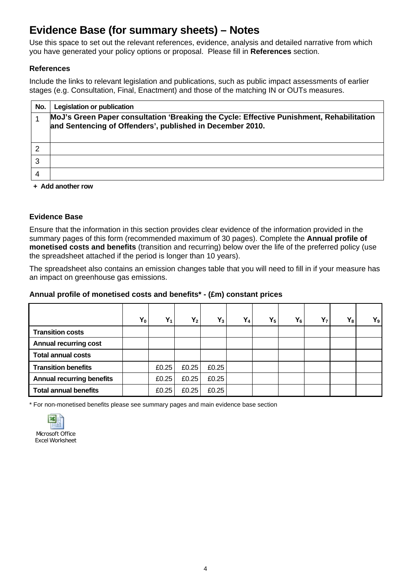# **Evidence Base (for summary sheets) – Notes**

Use this space to set out the relevant references, evidence, analysis and detailed narrative from which you have generated your policy options or proposal. Please fill in **References** section.

#### **References**

Include the links to relevant legislation and publications, such as public impact assessments of earlier stages (e.g. Consultation, Final, Enactment) and those of the matching IN or OUTs measures.

| No. | <b>Legislation or publication</b>                                                                                                                     |
|-----|-------------------------------------------------------------------------------------------------------------------------------------------------------|
|     | MoJ's Green Paper consultation 'Breaking the Cycle: Effective Punishment, Rehabilitation<br>and Sentencing of Offenders', published in December 2010. |
|     |                                                                                                                                                       |
|     |                                                                                                                                                       |
|     |                                                                                                                                                       |
| 4   |                                                                                                                                                       |

**+ Add another row** 

#### **Evidence Base**

Ensure that the information in this section provides clear evidence of the information provided in the summary pages of this form (recommended maximum of 30 pages). Complete the **Annual profile of monetised costs and benefits** (transition and recurring) below over the life of the preferred policy (use the spreadsheet attached if the period is longer than 10 years).

The spreadsheet also contains an emission changes table that you will need to fill in if your measure has an impact on greenhouse gas emissions.

#### **Annual profile of monetised costs and benefits\* - (£m) constant prices**

|                                  | $Y_0$ | $Y_1$ | $Y_2$ | $Y_3$ | $Y_4$ | $Y_5$ | $Y_6$ | Y <sub>7</sub> | $Y_8$ | $Y_9$ |
|----------------------------------|-------|-------|-------|-------|-------|-------|-------|----------------|-------|-------|
| <b>Transition costs</b>          |       |       |       |       |       |       |       |                |       |       |
| <b>Annual recurring cost</b>     |       |       |       |       |       |       |       |                |       |       |
| <b>Total annual costs</b>        |       |       |       |       |       |       |       |                |       |       |
| <b>Transition benefits</b>       |       | £0.25 | £0.25 | £0.25 |       |       |       |                |       |       |
| <b>Annual recurring benefits</b> |       | £0.25 | £0.25 | £0.25 |       |       |       |                |       |       |
| <b>Total annual benefits</b>     |       | £0.25 | £0.25 | £0.25 |       |       |       |                |       |       |

\* For non-monetised benefits please see summary pages and main evidence base section

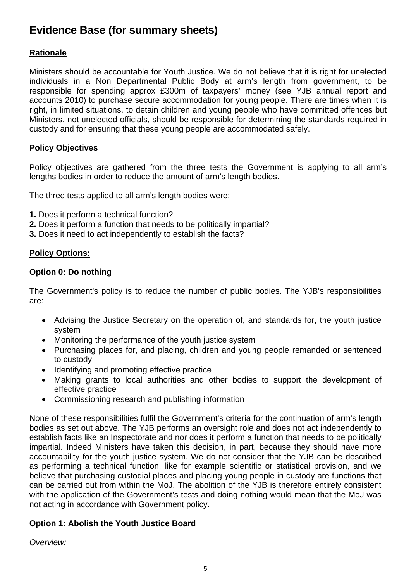# **Evidence Base (for summary sheets)**

# **Rationale**

Ministers should be accountable for Youth Justice. We do not believe that it is right for unelected individuals in a Non Departmental Public Body at arm's length from government, to be responsible for spending approx £300m of taxpayers' money (see YJB annual report and accounts 2010) to purchase secure accommodation for young people. There are times when it is right, in limited situations, to detain children and young people who have committed offences but Ministers, not unelected officials, should be responsible for determining the standards required in custody and for ensuring that these young people are accommodated safely.

# **Policy Objectives**

Policy objectives are gathered from the three tests the Government is applying to all arm's lengths bodies in order to reduce the amount of arm's length bodies.

The three tests applied to all arm's length bodies were:

- **1.** Does it perform a technical function?
- **2.** Does it perform a function that needs to be politically impartial?
- **3.** Does it need to act independently to establish the facts?

# **Policy Options:**

## **Option 0: Do nothing**

The Government's policy is to reduce the number of public bodies. The YJB's responsibilities are:

- Advising the Justice Secretary on the operation of, and standards for, the youth justice system
- Monitoring the performance of the youth justice system
- Purchasing places for, and placing, children and young people remanded or sentenced to custody
- Identifying and promoting effective practice
- Making grants to local authorities and other bodies to support the development of effective practice
- Commissioning research and publishing information

None of these responsibilities fulfil the Government's criteria for the continuation of arm's length bodies as set out above. The YJB performs an oversight role and does not act independently to establish facts like an Inspectorate and nor does it perform a function that needs to be politically impartial. Indeed Ministers have taken this decision, in part, because they should have more accountability for the youth justice system. We do not consider that the YJB can be described as performing a technical function, like for example scientific or statistical provision, and we believe that purchasing custodial places and placing young people in custody are functions that can be carried out from within the MoJ. The abolition of the YJB is therefore entirely consistent with the application of the Government's tests and doing nothing would mean that the MoJ was not acting in accordance with Government policy.

# **Option 1: Abolish the Youth Justice Board**

*Overview:*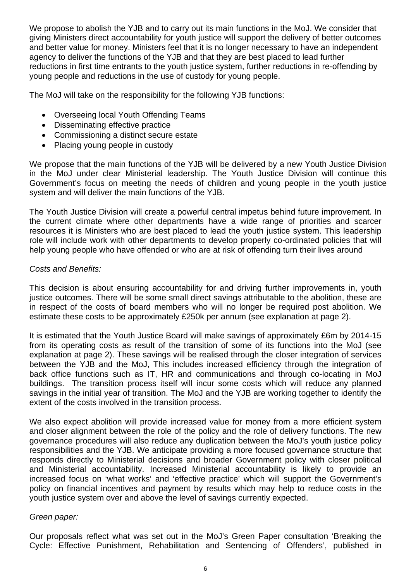We propose to abolish the YJB and to carry out its main functions in the MoJ. We consider that giving Ministers direct accountability for youth justice will support the delivery of better outcomes and better value for money. Ministers feel that it is no longer necessary to have an independent agency to deliver the functions of the YJB and that they are best placed to lead further reductions in first time entrants to the youth justice system, further reductions in re-offending by young people and reductions in the use of custody for young people.

The MoJ will take on the responsibility for the following YJB functions:

- Overseeing local Youth Offending Teams
- Disseminating effective practice
- Commissioning a distinct secure estate
- Placing young people in custody

We propose that the main functions of the YJB will be delivered by a new Youth Justice Division in the MoJ under clear Ministerial leadership. The Youth Justice Division will continue this Government's focus on meeting the needs of children and young people in the youth justice system and will deliver the main functions of the YJB.

The Youth Justice Division will create a powerful central impetus behind future improvement. In the current climate where other departments have a wide range of priorities and scarcer resources it is Ministers who are best placed to lead the youth justice system. This leadership role will include work with other departments to develop properly co-ordinated policies that will help young people who have offended or who are at risk of offending turn their lives around

#### *Costs and Benefits:*

This decision is about ensuring accountability for and driving further improvements in, youth justice outcomes. There will be some small direct savings attributable to the abolition, these are in respect of the costs of board members who will no longer be required post abolition. We estimate these costs to be approximately £250k per annum (see explanation at page 2).

It is estimated that the Youth Justice Board will make savings of approximately £6m by 2014-15 from its operating costs as result of the transition of some of its functions into the MoJ (see explanation at page 2). These savings will be realised through the closer integration of services between the YJB and the MoJ, This includes increased efficiency through the integration of back office functions such as IT, HR and communications and through co-locating in MoJ buildings. The transition process itself will incur some costs which will reduce any planned savings in the initial year of transition. The MoJ and the YJB are working together to identify the extent of the costs involved in the transition process.

We also expect abolition will provide increased value for money from a more efficient system and closer alignment between the role of the policy and the role of delivery functions. The new governance procedures will also reduce any duplication between the MoJ's youth justice policy responsibilities and the YJB. We anticipate providing a more focused governance structure that responds directly to Ministerial decisions and broader Government policy with closer political and Ministerial accountability. Increased Ministerial accountability is likely to provide an increased focus on 'what works' and 'effective practice' which will support the Government's policy on financial incentives and payment by results which may help to reduce costs in the youth justice system over and above the level of savings currently expected.

#### *Green paper:*

Our proposals reflect what was set out in the MoJ's Green Paper consultation 'Breaking the Cycle: Effective Punishment, Rehabilitation and Sentencing of Offenders', published in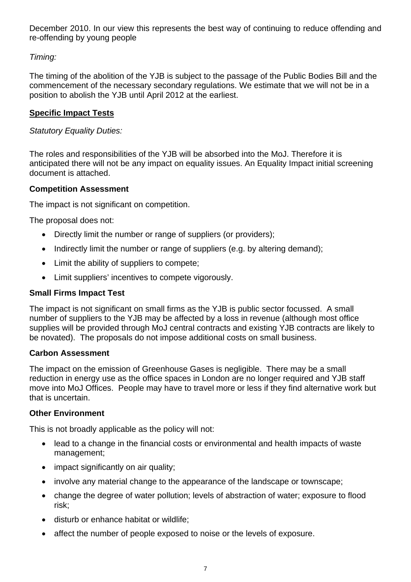December 2010. In our view this represents the best way of continuing to reduce offending and re-offending by young people

# *Timing:*

The timing of the abolition of the YJB is subject to the passage of the Public Bodies Bill and the commencement of the necessary secondary regulations. We estimate that we will not be in a position to abolish the YJB until April 2012 at the earliest.

# **Specific Impact Tests**

*Statutory Equality Duties:* 

The roles and responsibilities of the YJB will be absorbed into the MoJ. Therefore it is anticipated there will not be any impact on equality issues. An Equality Impact initial screening document is attached.

## **Competition Assessment**

The impact is not significant on competition.

The proposal does not:

- Directly limit the number or range of suppliers (or providers);
- Indirectly limit the number or range of suppliers (e.g. by altering demand);
- Limit the ability of suppliers to compete;
- Limit suppliers' incentives to compete vigorously.

# **Small Firms Impact Test**

The impact is not significant on small firms as the YJB is public sector focussed. A small number of suppliers to the YJB may be affected by a loss in revenue (although most office supplies will be provided through MoJ central contracts and existing YJB contracts are likely to be novated).The proposals do not impose additional costs on small business.

#### **Carbon Assessment**

The impact on the emission of Greenhouse Gases is negligible. There may be a small reduction in energy use as the office spaces in London are no longer required and YJB staff move into MoJ Offices. People may have to travel more or less if they find alternative work but that is uncertain.

#### **Other Environment**

This i s not broadly applicable as the policy will not:

- lead to a change in the financial costs or environmental and health impacts of waste management;
- impact significantly on air quality;
- involve any material change to the appearance of the landscape or townscape:
- change the degree of water pollution; levels of abstraction of water; exposure to flood risk;
- disturb or enhance habitat or wildlife;
- affect the number of people exposed to noise or the levels of exposure.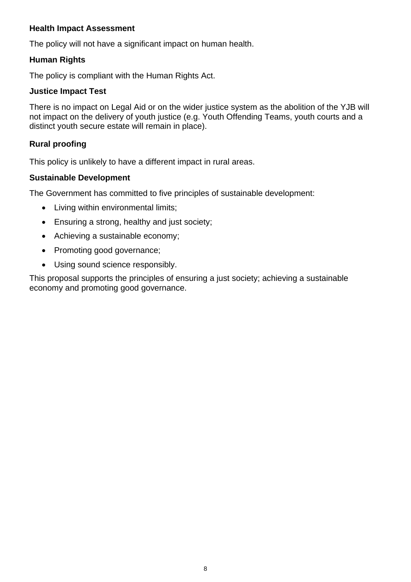## **Health Impact Assessment**

The policy will not have a significant impact on human health.

# **Human Rights**

The policy is compliant with the Human Rights Act.

## **Justice Impact Test**

There is no impact on Legal Aid or on the wider justice system as the abolition of the YJB will not impact on the delivery of youth justice (e.g. Youth Offending Teams, youth courts and a distinct youth secure estate will remain in place).

# **Rural proofing**

This policy is unlikely to have a different impact in rural areas.

## **Sustainable Development**

The Government has committed to five principles of sustainable development:

- Living within environmental limits;
- Ensuring a strong, healthy and just society;
- Achieving a sustainable economy;
- Promoting good governance;
- Using sound science responsibly.

This proposal supports the principles of ensuring a just society; achieving a sustainable economy and promoting good governance.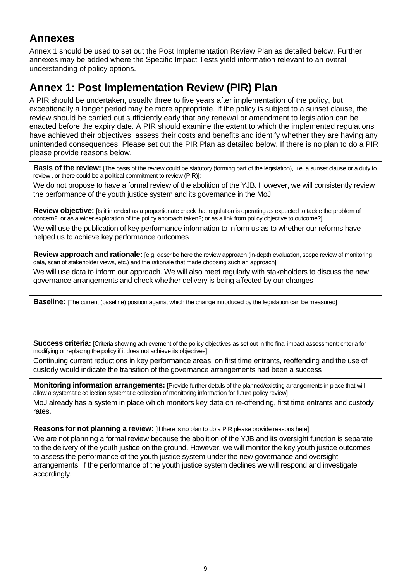# **Annexes**

Annex 1 should be used to set out the Post Implementation Review Plan as detailed below. Further annexes may be added where the Specific Impact Tests yield information relevant to an overall understanding of policy options.

# **Annex 1: Post Implementation Review (PIR) Plan**

A PIR should be undertaken, usually three to five years after implementation of the policy, but exceptionally a longer period may be more appropriate. If the policy is subject to a sunset clause, the review should be carried out sufficiently early that any renewal or amendment to legislation can be enacted before the expiry date. A PIR should examine the extent to which the implemented regulations have achieved their objectives, assess their costs and benefits and identify whether they are having any unintended consequences. Please set out the PIR Plan as detailed below. If there is no plan to do a PIR please provide reasons below.

**Basis of the review:** [The basis of the review could be statutory (forming part of the legislation), i.e. a sunset clause or a duty to review , or there could be a political commitment to review (PIR)];

We do not propose to have a formal review of the abolition of the YJB. However, we will consistently review the performance of the youth justice system and its governance in the MoJ

**Review objective:** [Is it intended as a proportionate check that regulation is operating as expected to tackle the problem of concern?; or as a wider exploration of the policy approach taken?; or as a link from policy objective to outcome?]

We will use the publication of key performance information to inform us as to whether our reforms have helped us to achieve key performance outcomes

**Review approach and rationale:** [e.g. describe here the review approach (in-depth evaluation, scope review of monitoring data, scan of stakeholder views, etc.) and the rationale that made choosing such an approach]

We will use data to inform our approach. We will also meet regularly with stakeholders to discuss the new governance arrangements and check whether delivery is being affected by our changes

Baseline: [The current (baseline) position against which the change introduced by the legislation can be measured]

**Success criteria:** [Criteria showing achievement of the policy objectives as set out in the final impact assessment; criteria for modifying or replacing the policy if it does not achieve its objectives]

Continuing current reductions in key performance areas, on first time entrants, reoffending and the use of custody would indicate the transition of the governance arrangements had been a success

**Monitoring information arrangements:** [Provide further details of the planned/existing arrangements in place that will allow a systematic collection systematic collection of monitoring information for future policy review]

MoJ already has a system in place which monitors key data on re-offending, first time entrants and custody rates.

**Reasons for not planning a review:** [If there is no plan to do a PIR please provide reasons here]

We are not planning a formal review because the abolition of the YJB and its oversight function is separate to the delivery of the youth justice on the ground. However, we will monitor the key youth justice outcomes to assess the performance of the youth justice system under the new governance and oversight arrangements. If the performance of the youth justice system declines we will respond and investigate accordingly.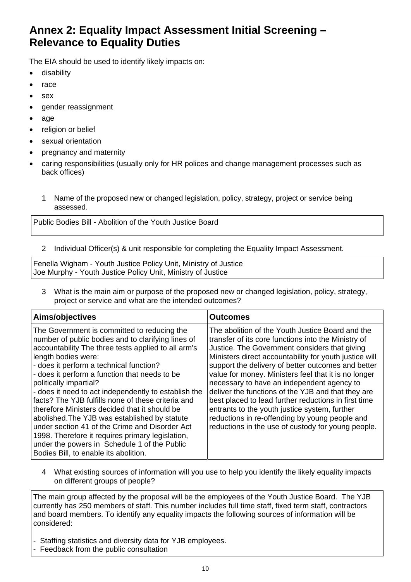# **Annex 2: Equality Impact Assessment Initial Screening – Relevance to Equality Duties**

The EIA should be used to identify likely impacts on:

- **•** disability
- race
- sex
- gender reassignment
- $\bullet$  age
- religion or belief
- sexual orientation
- pregnancy and maternity
- caring responsibilities (usually only for HR polices and change management processes such as back offices)
	- 1 Name of the proposed new or changed legislation, policy, strategy, project or service being assessed.

Public Bodies Bill - Abolition of the Youth Justice Board

2 Individual Officer(s) & unit responsible for completing the Equality Impact Assessment.

Fenella Wigham - Youth Justice Policy Unit, Ministry of Justice Joe Murphy - Youth Justice Policy Unit, Ministry of Justice

3 What is the main aim or purpose of the proposed new or changed legislation, policy, strategy, project or service and what are the intended outcomes?

| Aims/objectives                                                                                                                                                                                                                                                                                                                                                                                                                                                                                                                                                                                                                                                                                                      | <b>Outcomes</b>                                                                                                                                                                                                                                                                                                                                                                                                                                                                                                                                                                                                                                       |
|----------------------------------------------------------------------------------------------------------------------------------------------------------------------------------------------------------------------------------------------------------------------------------------------------------------------------------------------------------------------------------------------------------------------------------------------------------------------------------------------------------------------------------------------------------------------------------------------------------------------------------------------------------------------------------------------------------------------|-------------------------------------------------------------------------------------------------------------------------------------------------------------------------------------------------------------------------------------------------------------------------------------------------------------------------------------------------------------------------------------------------------------------------------------------------------------------------------------------------------------------------------------------------------------------------------------------------------------------------------------------------------|
| The Government is committed to reducing the<br>number of public bodies and to clarifying lines of<br>accountability The three tests applied to all arm's<br>length bodies were:<br>- does it perform a technical function?<br>- does it perform a function that needs to be<br>politically impartial?<br>- does it need to act independently to establish the<br>facts? The YJB fulfills none of these criteria and<br>therefore Ministers decided that it should be<br>abolished. The YJB was established by statute<br>under section 41 of the Crime and Disorder Act<br>1998. Therefore it requires primary legislation,<br>under the powers in Schedule 1 of the Public<br>Bodies Bill, to enable its abolition. | The abolition of the Youth Justice Board and the<br>transfer of its core functions into the Ministry of<br>Justice. The Government considers that giving<br>Ministers direct accountability for youth justice will<br>support the delivery of better outcomes and better<br>value for money. Ministers feel that it is no longer<br>necessary to have an independent agency to<br>deliver the functions of the YJB and that they are<br>best placed to lead further reductions in first time<br>entrants to the youth justice system, further<br>reductions in re-offending by young people and<br>reductions in the use of custody for young people. |

4 What existing sources of information will you use to help you identify the likely equality impacts on different groups of people?

The main group affected by the proposal will be the employees of the Youth Justice Board. The YJB currently has 250 members of staff. This number includes full time staff, fixed term staff, contractors and board members. To identify any equality impacts the following sources of information will be considered:

- Staffing statistics and diversity data for YJB employees.
- Feedback from the public consultation